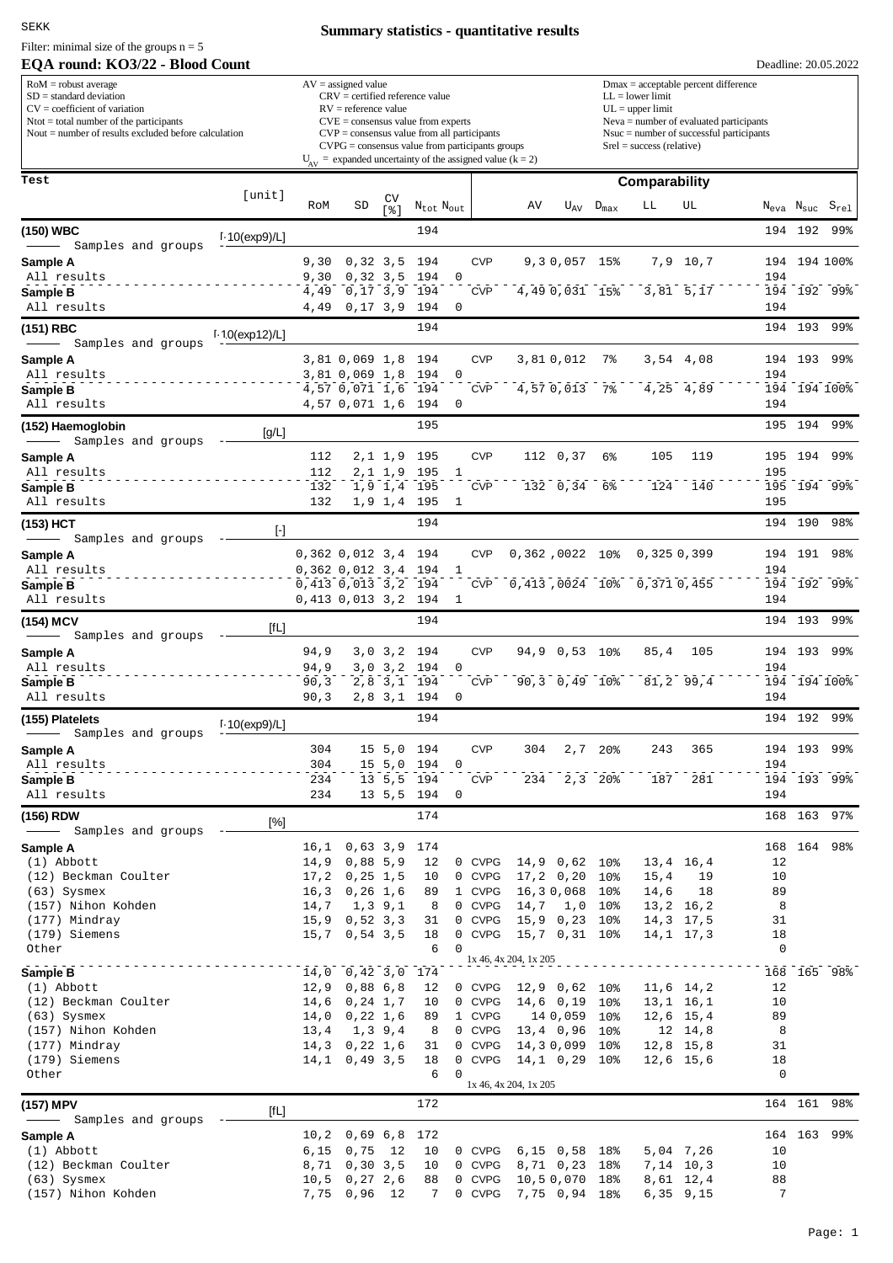SEKK

Filter: minimal size of the groups  $n = 5$ 

# **EQA round: KO3/22 - Blood Count**

# **Summary statistics - quantitative results**

| $RoM =$ robust average<br>$SD = standard deviation$<br>$CV = coefficient of variation$<br>$N$ tot = total number of the participants<br>Nout $=$ number of results excluded before calculation                                                                                                                                                                                                                                                               |                           |              | $AV = assigned value$<br>$CRV =$ certified reference value<br>$RV =$ reference value<br>$CVE = \text{consensus value from experts}$<br>$CVP = \text{consensus value from all participants}$<br>$CVPG = \text{consensus value from participants groups}$ |                                         |                             |             |                  | $Dmax = acceptable percent difference$<br>$LL = lower limit$<br>$UL = upper limit$<br>$Neva = number of evaluated participants$<br>$N$ suc = number of successful participants<br>$Srel = success$ (relative) |                                    |                  |                            |                                  |          |         |                                                    |  |
|--------------------------------------------------------------------------------------------------------------------------------------------------------------------------------------------------------------------------------------------------------------------------------------------------------------------------------------------------------------------------------------------------------------------------------------------------------------|---------------------------|--------------|---------------------------------------------------------------------------------------------------------------------------------------------------------------------------------------------------------------------------------------------------------|-----------------------------------------|-----------------------------|-------------|------------------|---------------------------------------------------------------------------------------------------------------------------------------------------------------------------------------------------------------|------------------------------------|------------------|----------------------------|----------------------------------|----------|---------|----------------------------------------------------|--|
|                                                                                                                                                                                                                                                                                                                                                                                                                                                              |                           |              |                                                                                                                                                                                                                                                         |                                         |                             |             |                  | $U_{AV}$ = expanded uncertainty of the assigned value (k = 2)                                                                                                                                                 |                                    |                  |                            |                                  |          |         |                                                    |  |
| Test                                                                                                                                                                                                                                                                                                                                                                                                                                                         | [unit]                    | RoM          | SD                                                                                                                                                                                                                                                      | $\begin{bmatrix} CV \\ 8 \end{bmatrix}$ | $\rm N_{tot}$ $\rm N_{out}$ |             |                  | ΑV                                                                                                                                                                                                            | $U_{AV}$                           | $D_{\text{max}}$ | Comparability<br>LЬ        | UL                               |          |         | $N_{\text{eva}}$ $N_{\text{suc}}$ $S_{\text{rel}}$ |  |
| (150) WBC                                                                                                                                                                                                                                                                                                                                                                                                                                                    |                           |              |                                                                                                                                                                                                                                                         |                                         | 194                         |             |                  |                                                                                                                                                                                                               |                                    |                  |                            |                                  |          | 194 192 | 99%                                                |  |
| Samples and groups                                                                                                                                                                                                                                                                                                                                                                                                                                           | $1.10$ (exp9)/L]          |              |                                                                                                                                                                                                                                                         |                                         |                             |             |                  |                                                                                                                                                                                                               |                                    |                  |                            |                                  |          |         |                                                    |  |
| Sample A<br>All results                                                                                                                                                                                                                                                                                                                                                                                                                                      |                           | 9,30<br>9,30 | $0,32,3,5$ 194                                                                                                                                                                                                                                          |                                         | 0, 32, 3, 5, 194            | 0           | <b>CVP</b>       |                                                                                                                                                                                                               | 9, 3 0, 057 15%                    |                  |                            | 7,9 10,7                         | 194      |         | 194 194 100%                                       |  |
| Sample B                                                                                                                                                                                                                                                                                                                                                                                                                                                     |                           | 4,49         | 0, 17, 3, 9, 194                                                                                                                                                                                                                                        |                                         |                             |             | <b>CVP</b>       |                                                                                                                                                                                                               | 4,49 0,031 15%                     |                  |                            | 3,81 5,17                        |          |         | 194 192 99%                                        |  |
| All results                                                                                                                                                                                                                                                                                                                                                                                                                                                  |                           | 4,49         | $0,17$ 3,9                                                                                                                                                                                                                                              |                                         | 194                         | 0           |                  |                                                                                                                                                                                                               |                                    |                  |                            |                                  | 194      |         |                                                    |  |
| (151) RBC<br>Samples and groups                                                                                                                                                                                                                                                                                                                                                                                                                              | $1.10$ (exp12)/L]         |              |                                                                                                                                                                                                                                                         |                                         | 194                         |             |                  |                                                                                                                                                                                                               |                                    |                  |                            |                                  |          |         | 194 193 99%                                        |  |
| Sample A                                                                                                                                                                                                                                                                                                                                                                                                                                                     |                           |              | 3,81 0,069 1,8 194                                                                                                                                                                                                                                      |                                         |                             |             | <b>CVP</b>       |                                                                                                                                                                                                               | 3,810,012                          | 7%               |                            | 3,54 4,08                        |          |         | 194 193 99%                                        |  |
| All results<br>Sample B                                                                                                                                                                                                                                                                                                                                                                                                                                      |                           |              | 3,81 0,069 1,8 194<br>4,57 0,071 1,6 194                                                                                                                                                                                                                |                                         |                             | 0           | <b>CVP</b>       |                                                                                                                                                                                                               | 4,57 0,013 7%                      |                  |                            | 4,25 4,89                        | 194      |         | 194 194 100%                                       |  |
| All results                                                                                                                                                                                                                                                                                                                                                                                                                                                  |                           |              | 4,57 0,071 1,6 194                                                                                                                                                                                                                                      |                                         |                             | 0           |                  |                                                                                                                                                                                                               |                                    |                  |                            |                                  | 194      |         |                                                    |  |
| (152) Haemoglobin                                                                                                                                                                                                                                                                                                                                                                                                                                            | [g/L]                     |              |                                                                                                                                                                                                                                                         |                                         | 195                         |             |                  |                                                                                                                                                                                                               |                                    |                  |                            |                                  |          |         | 195 194 99%                                        |  |
| Samples and groups                                                                                                                                                                                                                                                                                                                                                                                                                                           |                           | 112          |                                                                                                                                                                                                                                                         |                                         | 2,1 1,9 195                 |             | <b>CVP</b>       |                                                                                                                                                                                                               | 112 0,37                           | 6%               | 105                        | 119                              |          | 195 194 | -99%                                               |  |
| Sample A<br>All results                                                                                                                                                                                                                                                                                                                                                                                                                                      |                           | 112          |                                                                                                                                                                                                                                                         |                                         | 2,1 1,9 195                 | 1           |                  |                                                                                                                                                                                                               |                                    |                  |                            |                                  | 195      |         |                                                    |  |
| Sample B                                                                                                                                                                                                                                                                                                                                                                                                                                                     |                           | 132          |                                                                                                                                                                                                                                                         |                                         | 1,9 1,4 195                 |             | <b>CVP</b>       |                                                                                                                                                                                                               | 132 0,34                           | 6%               | 124                        | 140                              |          |         | 195 194 99%                                        |  |
| All results                                                                                                                                                                                                                                                                                                                                                                                                                                                  |                           | 132          |                                                                                                                                                                                                                                                         |                                         | 1,9 1,4 195<br>194          | 1           |                  |                                                                                                                                                                                                               |                                    |                  |                            |                                  | 195      |         |                                                    |  |
| (153) HCT<br>Samples and groups                                                                                                                                                                                                                                                                                                                                                                                                                              | $[\cdot]$                 |              |                                                                                                                                                                                                                                                         |                                         |                             |             |                  |                                                                                                                                                                                                               |                                    |                  |                            |                                  |          | 194 190 | 98%                                                |  |
| Sample A                                                                                                                                                                                                                                                                                                                                                                                                                                                     |                           |              | $0,362$ $0,012$ $3,4$ 194                                                                                                                                                                                                                               |                                         |                             |             | <b>CVP</b>       | 0,362,0022 10%                                                                                                                                                                                                |                                    |                  | 0,3250,399                 |                                  |          | 194 191 | 98%                                                |  |
| All results<br>Sample B                                                                                                                                                                                                                                                                                                                                                                                                                                      |                           |              | $0,362$ $0,012$ $3,4$ 194<br>0,413 0,013 3,2 194                                                                                                                                                                                                        |                                         |                             | 1           | <b>CVP</b>       |                                                                                                                                                                                                               |                                    |                  | 0,413,0024 10% 0,371 0,455 |                                  | 194      |         | 194 192 99%                                        |  |
| All results                                                                                                                                                                                                                                                                                                                                                                                                                                                  |                           |              | 0,413 0,013 3,2 194                                                                                                                                                                                                                                     |                                         |                             | 1           |                  |                                                                                                                                                                                                               |                                    |                  |                            |                                  | 194      |         |                                                    |  |
| (154) MCV                                                                                                                                                                                                                                                                                                                                                                                                                                                    | $[{\mathsf f} \mathsf L]$ |              |                                                                                                                                                                                                                                                         |                                         | 194                         |             |                  |                                                                                                                                                                                                               |                                    |                  |                            |                                  |          |         | 194 193 99%                                        |  |
| Samples and groups<br>Sample A                                                                                                                                                                                                                                                                                                                                                                                                                               |                           | 94,9         |                                                                                                                                                                                                                                                         |                                         | 3,0 3,2 194                 |             | <b>CVP</b>       |                                                                                                                                                                                                               | 94,9 0,53 10%                      |                  | 85,4                       | 105                              |          |         | 194 193 99%                                        |  |
| All results                                                                                                                                                                                                                                                                                                                                                                                                                                                  |                           | 94,9         |                                                                                                                                                                                                                                                         |                                         | 3,0 3,2 194                 | 0           |                  |                                                                                                                                                                                                               |                                    |                  |                            |                                  | 194      |         |                                                    |  |
| Sample B                                                                                                                                                                                                                                                                                                                                                                                                                                                     |                           | 90, 3        |                                                                                                                                                                                                                                                         |                                         | 2,8 3,1 194                 |             | <b>CVP</b>       |                                                                                                                                                                                                               | 90, 3, 0, 49, 10                   |                  |                            | 81,2 99,4                        |          |         | 194 194 100%                                       |  |
| All results                                                                                                                                                                                                                                                                                                                                                                                                                                                  |                           | 90, 3        |                                                                                                                                                                                                                                                         |                                         | 2,8 3,1 194<br>194          | 0           |                  |                                                                                                                                                                                                               |                                    |                  |                            |                                  | 194      |         | 194 192 99%                                        |  |
| (155) Platelets<br>Samples and groups<br>$\frac{1}{\sqrt{2\pi}}\left( \frac{1}{\sqrt{2\pi}}\right) ^{2}+\frac{1}{\sqrt{2\pi}}\left( \frac{1}{\sqrt{2\pi}}\right) ^{2}+\frac{1}{\sqrt{2\pi}}\left( \frac{1}{\sqrt{2\pi}}\right) ^{2}+\frac{1}{\sqrt{2\pi}}\left( \frac{1}{\sqrt{2\pi}}\right) ^{2}+\frac{1}{\sqrt{2\pi}}\left( \frac{1}{\sqrt{2\pi}}\right) ^{2}+\frac{1}{\sqrt{2\pi}}\left( \frac{1}{\sqrt{2\pi}}\right) ^{2}+\frac{1}{\sqrt{2\pi}}\left( \$ | $1.10$ (exp9)/L]          |              |                                                                                                                                                                                                                                                         |                                         |                             |             |                  |                                                                                                                                                                                                               |                                    |                  |                            |                                  |          |         |                                                    |  |
| Sample A                                                                                                                                                                                                                                                                                                                                                                                                                                                     |                           | 304          |                                                                                                                                                                                                                                                         |                                         | 15 5,0 194                  |             | <b>CVP</b>       | 304                                                                                                                                                                                                           |                                    | $2,7$ 20%        | 243                        | 365                              |          | 194 193 | 99%                                                |  |
| All results<br>Sample B                                                                                                                                                                                                                                                                                                                                                                                                                                      |                           | 304<br>234   |                                                                                                                                                                                                                                                         |                                         | 15 5,0 194<br>13 5,5 194    | 0           | <b>CVP</b>       |                                                                                                                                                                                                               | 234 2,3 20%                        |                  | 187                        | 281                              | 194      |         | 194 193 99%                                        |  |
| All results                                                                                                                                                                                                                                                                                                                                                                                                                                                  |                           | 234          |                                                                                                                                                                                                                                                         |                                         | 13 5,5 194                  | 0           |                  |                                                                                                                                                                                                               |                                    |                  |                            |                                  | 194      |         |                                                    |  |
| (156) RDW                                                                                                                                                                                                                                                                                                                                                                                                                                                    | [%]                       |              |                                                                                                                                                                                                                                                         |                                         | 174                         |             |                  |                                                                                                                                                                                                               |                                    |                  |                            |                                  |          |         | 168 163 97%                                        |  |
| - Samples and groups<br>Sample A                                                                                                                                                                                                                                                                                                                                                                                                                             |                           |              | 16,1 0,63 3,9 174                                                                                                                                                                                                                                       |                                         |                             |             |                  |                                                                                                                                                                                                               |                                    |                  |                            |                                  |          |         | 168 164 98%                                        |  |
| (1) Abbott                                                                                                                                                                                                                                                                                                                                                                                                                                                   |                           |              | 14,9 0,88 5,9                                                                                                                                                                                                                                           |                                         | 12                          |             | 0 CVPG           |                                                                                                                                                                                                               | 14,9 0,62 10%                      |                  |                            | 13,4 16,4                        | 12       |         |                                                    |  |
| (12) Beckman Coulter<br>$(63)$ Sysmex                                                                                                                                                                                                                                                                                                                                                                                                                        |                           |              | $17,2$ 0, 25 1, 5<br>$16,3$ 0, 26 1, 6                                                                                                                                                                                                                  |                                         | 10<br>89                    |             | 0 CVPG<br>1 CVPG |                                                                                                                                                                                                               | $17, 2$ 0, 20 10%<br>16,30,068 10% |                  | 15,4<br>14,6               | 19<br>18                         | 10<br>89 |         |                                                    |  |
| (157) Nihon Kohden                                                                                                                                                                                                                                                                                                                                                                                                                                           |                           | 14,7         |                                                                                                                                                                                                                                                         | 1, 3, 9, 1                              | 8                           |             | 0 CVPG           |                                                                                                                                                                                                               | 14,7 1,0 10%                       |                  |                            | 13,2 16,2                        | 8        |         |                                                    |  |
| (177) Mindray<br>(179) Siemens                                                                                                                                                                                                                                                                                                                                                                                                                               |                           |              | $15,9$ 0,52 3,3<br>$15,7$ 0,54 3,5                                                                                                                                                                                                                      |                                         | 31<br>18                    |             | 0 CVPG<br>0 CVPG |                                                                                                                                                                                                               | 15,9 0,23 10%<br>15,7 0,31 10%     |                  |                            | 14,3 17,5<br>$14, 1 \quad 17, 3$ | 31<br>18 |         |                                                    |  |
| Other                                                                                                                                                                                                                                                                                                                                                                                                                                                        |                           |              |                                                                                                                                                                                                                                                         |                                         | 6                           | $\mathbf 0$ |                  |                                                                                                                                                                                                               |                                    |                  |                            |                                  | 0        |         |                                                    |  |
| Sample B                                                                                                                                                                                                                                                                                                                                                                                                                                                     |                           |              | 14,0 0,42 3,0 174                                                                                                                                                                                                                                       |                                         |                             |             |                  | 1x 46, 4x 204, 1x 205                                                                                                                                                                                         |                                    |                  |                            |                                  |          |         | 168 165 98%                                        |  |
| (1) Abbott                                                                                                                                                                                                                                                                                                                                                                                                                                                   |                           |              | $12,9$ 0,88 6,8                                                                                                                                                                                                                                         |                                         | 12                          |             | 0 CVPG           |                                                                                                                                                                                                               | 12,9 0,62 10%                      |                  |                            | 11,6 14,2                        | 12       |         |                                                    |  |
| (12) Beckman Coulter<br>$(63)$ Sysmex                                                                                                                                                                                                                                                                                                                                                                                                                        |                           |              | 14,6 0,24 1,7<br>14,0 0,22 1,6                                                                                                                                                                                                                          |                                         | 10<br>89                    |             | 0 CVPG<br>1 CVPG |                                                                                                                                                                                                               | 14,6 0,19 10%<br>14 0,059 10%      |                  |                            | 13,1 16,1<br>12,6 15,4           | 10<br>89 |         |                                                    |  |
| (157) Nihon Kohden                                                                                                                                                                                                                                                                                                                                                                                                                                           |                           | 13,4         | 1,39,4                                                                                                                                                                                                                                                  |                                         | 8                           |             | 0 CVPG           |                                                                                                                                                                                                               | 13,4 0,96 10%                      |                  |                            | 12 14,8                          | 8        |         |                                                    |  |
| (177) Mindray<br>(179) Siemens                                                                                                                                                                                                                                                                                                                                                                                                                               |                           |              | 14,3 0,22 1,6<br>$14, 1$ 0, 49 3, 5                                                                                                                                                                                                                     |                                         | 31<br>18                    |             | 0 CVPG<br>0 CVPG | 14,1 0,29 10%                                                                                                                                                                                                 | 14,30,099 10%                      |                  |                            | $12,8$ 15,8<br>12,6 15,6         | 31<br>18 |         |                                                    |  |
| Other                                                                                                                                                                                                                                                                                                                                                                                                                                                        |                           |              |                                                                                                                                                                                                                                                         |                                         | 6                           | 0           |                  | 1x 46, 4x 204, 1x 205                                                                                                                                                                                         |                                    |                  |                            |                                  | 0        |         |                                                    |  |
| (157) MPV                                                                                                                                                                                                                                                                                                                                                                                                                                                    |                           |              |                                                                                                                                                                                                                                                         |                                         | 172                         |             |                  | 164 161 98%                                                                                                                                                                                                   |                                    |                  |                            |                                  |          |         |                                                    |  |
| Samples and groups                                                                                                                                                                                                                                                                                                                                                                                                                                           | [fL]                      |              |                                                                                                                                                                                                                                                         |                                         |                             |             |                  |                                                                                                                                                                                                               |                                    |                  |                            |                                  |          |         |                                                    |  |
| Sample A<br>$(1)$ Abbott                                                                                                                                                                                                                                                                                                                                                                                                                                     |                           | 6,15         | 10,2 0,69 6,8 172<br>$0,75$ 12                                                                                                                                                                                                                          |                                         | 10                          |             | 0 CVPG           |                                                                                                                                                                                                               | $6,15$ 0,58 18%                    |                  |                            | 5,04 7,26                        | 10       |         | 164 163 99%                                        |  |
| (12) Beckman Coulter                                                                                                                                                                                                                                                                                                                                                                                                                                         |                           | 8,71         | 0, 30, 3, 5                                                                                                                                                                                                                                             |                                         | 10                          |             | 0 CVPG           |                                                                                                                                                                                                               | 8,71 0,23 18%                      |                  |                            | 7,14 10,3                        | 10       |         |                                                    |  |
| $(63)$ Sysmex                                                                                                                                                                                                                                                                                                                                                                                                                                                |                           |              | $10,5$ 0, 27 2, 6                                                                                                                                                                                                                                       |                                         | 88                          |             | 0 CVPG           |                                                                                                                                                                                                               | 10,50,070 18%                      |                  |                            | 8,61 12,4                        | 88       |         |                                                    |  |

(157) Nihon Kohden 7,75 0,96 12 7 0 CVPG 7,75 0,94 18% 6,35 9,15 7

Deadline: 20.05.2022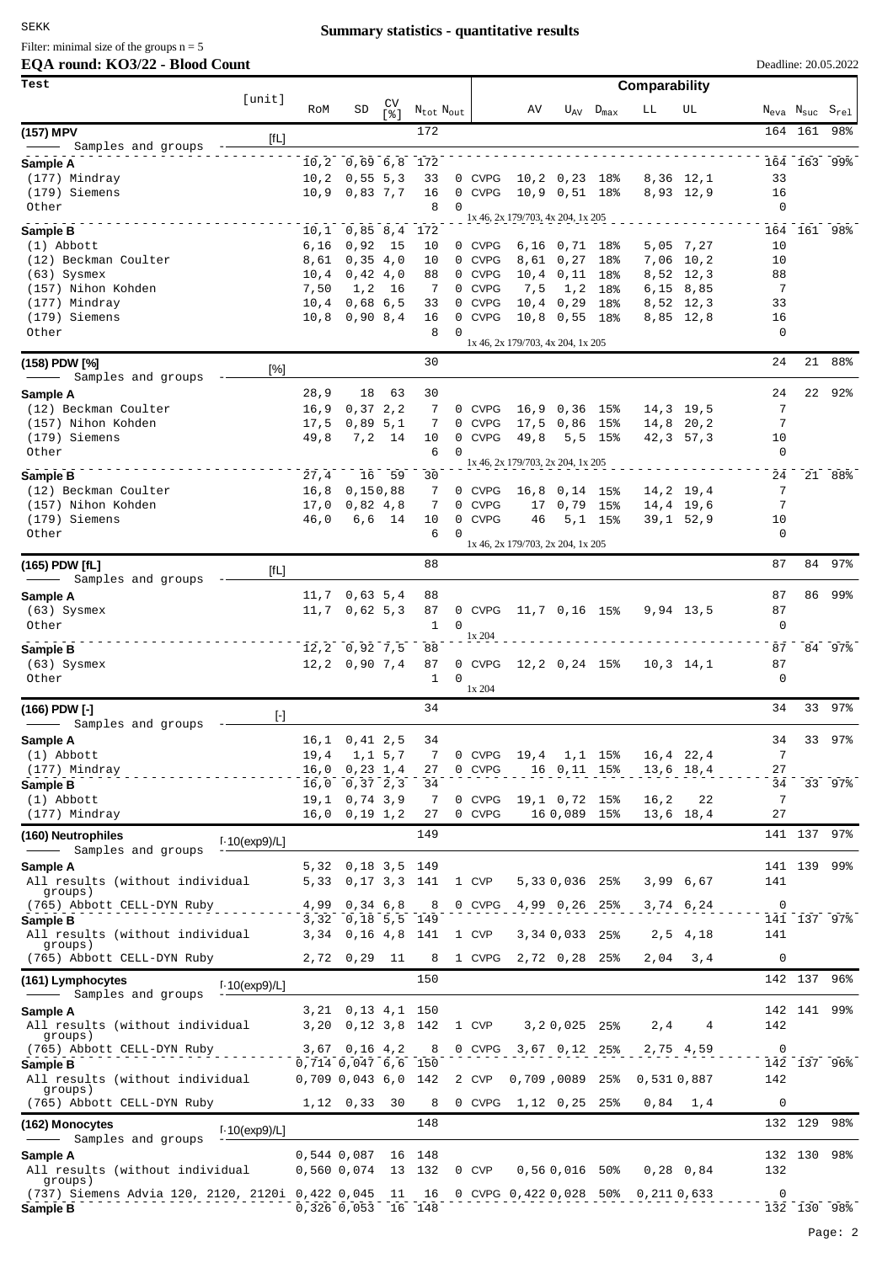# **Summary statistics - quantitative results**

# **EQA round: KO3/22 - Blood Count** Filter: minimal size of the groups  $n = 5$

| Test                                                         |                  |                |                                 |            |                                   |          | Comparability    |                                   |                                 |                                  |             |                        |             |                                                    |        |  |
|--------------------------------------------------------------|------------------|----------------|---------------------------------|------------|-----------------------------------|----------|------------------|-----------------------------------|---------------------------------|----------------------------------|-------------|------------------------|-------------|----------------------------------------------------|--------|--|
|                                                              | [unit]           | RoM            | SD                              | CV<br>5.81 | $N_{\text{tot}}$ $N_{\text{out}}$ |          |                  | AV                                |                                 | $U_{\text{AV}}$ $D_{\text{max}}$ | LL          | UL                     |             | $N_{\text{eva}}$ $N_{\text{suc}}$ $S_{\text{rel}}$ |        |  |
| (157) MPV                                                    | [fL]             |                |                                 |            | 172                               |          |                  |                                   |                                 |                                  |             |                        |             | 164 161                                            | 98%    |  |
| Samples and groups                                           |                  |                |                                 |            |                                   |          |                  |                                   |                                 |                                  |             |                        |             |                                                    |        |  |
| Sample A<br>(177) Mindray                                    |                  | 10, 2          | $10, 2$ 0,69 6,8<br>0, 55, 5, 3 |            | 172<br>33                         |          | 0 CVPG           |                                   | $10, 2$ 0, 23 18%               |                                  |             | 8,36 12,1              | 33          | 164 163                                            | 99%    |  |
| (179) Siemens                                                |                  | 10,9           | 0,83,7,7                        |            | 16                                |          | 0 CVPG           |                                   | 10,9 0,51 18%                   |                                  |             | 8,93 12,9              | 16          |                                                    |        |  |
| Other                                                        |                  |                |                                 |            | 8                                 | $\Omega$ |                  | 1x 46, 2x 179/703, 4x 204, 1x 205 |                                 |                                  |             |                        | 0           |                                                    |        |  |
| Sample B                                                     |                  | 10,1           | 0,85,8,4                        |            | 172                               |          |                  |                                   |                                 |                                  |             |                        |             | 164 161 98%                                        |        |  |
| $(1)$ Abbott<br>(12) Beckman Coulter                         |                  | 6,16<br>8,61   | 0,92<br>0, 35, 4, 0             | 15         | 10<br>10                          |          | 0 CVPG<br>0 CVPG |                                   | 6,16 0,71 18%<br>8,61 0,27      | 18%                              |             | 5,05 7,27<br>7,06 10,2 | 10<br>10    |                                                    |        |  |
| $(63)$ Sysmex                                                |                  | 10,4           | 0,42,4,0                        |            | 88                                |          | 0 CVPG           |                                   | $10, 4$ 0, 11                   | 18%                              |             | 8,52 12,3              | 88          |                                                    |        |  |
| (157) Nihon Kohden                                           |                  | 7,50<br>10,4   | 1, 2                            | 16         | 7<br>33                           |          | 0 CVPG<br>0 CVPG | 7,5                               | 1, 2                            | 18%                              |             | $6,15$ 8,85            | 7<br>33     |                                                    |        |  |
| (177) Mindray<br>(179) Siemens                               |                  | 10,8           | 0,68,6,5<br>0,90,8,4            |            | 16                                |          | 0 CVPG           |                                   | $10, 4$ 0,29<br>$10,8$ 0,55 18% | 18%                              |             | 8,52 12,3<br>8,85 12,8 | 16          |                                                    |        |  |
| Other                                                        |                  |                |                                 |            | 8                                 | $\Omega$ |                  | 1x 46, 2x 179/703, 4x 204, 1x 205 |                                 |                                  |             |                        | 0           |                                                    |        |  |
| (158) PDW [%]                                                |                  |                |                                 |            | 30                                |          |                  |                                   |                                 |                                  |             |                        | 24          | 21                                                 | 88%    |  |
| Samples and groups                                           | [%]              |                |                                 |            |                                   |          |                  |                                   |                                 |                                  |             |                        |             |                                                    |        |  |
| Sample A<br>(12) Beckman Coulter                             |                  | 28, 9<br>16, 9 | 18<br>0, 37, 2, 2               | 63         | 30<br>7                           |          | 0 CVPG           |                                   |                                 |                                  |             | 14,3 19,5              | 24<br>7     | 22                                                 | 92%    |  |
| (157) Nihon Kohden                                           |                  | 17,5           | 0,89,5,1                        |            | 7                                 |          | 0 CVPG           |                                   | $16,9$ 0,36<br>17,5 0,86 15%    | 15%                              |             | 14,8 20,2              | 7           |                                                    |        |  |
| (179) Siemens                                                |                  | 49,8           |                                 | 7,2 14     | 10                                |          | 0 CVPG           | 49,8                              |                                 | $5, 5$ 15%                       |             | $42, 3$ 57, 3          | 10          |                                                    |        |  |
| Other                                                        |                  |                |                                 |            | 6                                 | $\Omega$ |                  | 1x 46, 2x 179/703, 2x 204, 1x 205 |                                 |                                  |             |                        | 0           |                                                    |        |  |
| Sample B                                                     |                  | 27,4           |                                 | 16 59      | 30                                |          |                  |                                   |                                 |                                  |             |                        | 24          |                                                    | 21 88% |  |
| (12) Beckman Coulter<br>(157) Nihon Kohden                   |                  | 16, 8<br>17,0  | 0,150,88<br>0,82,4,8            |            | 7<br>7                            |          | 0 CVPG<br>0 CVPG | 16,8<br>17                        | $0,14$ 15%<br>$0,79$ 15%        |                                  |             | 14,2 19,4<br>14,4 19,6 | 7<br>7      |                                                    |        |  |
| (179) Siemens                                                |                  | 46,0           |                                 | $6, 6$ 14  | 10                                |          | 0 CVPG           | 46                                |                                 | $5,1$ 15%                        |             | $39,1$ 52,9            | 10          |                                                    |        |  |
| Other                                                        |                  |                |                                 |            | 6                                 | $\Omega$ |                  | 1x 46, 2x 179/703, 2x 204, 1x 205 |                                 |                                  |             |                        | 0           |                                                    |        |  |
| (165) PDW [fL]<br>- Samples and groups                       | [fL]             |                |                                 |            | 88                                |          |                  |                                   |                                 |                                  |             |                        | 87          | 84                                                 | 97%    |  |
| Sample A                                                     |                  | 11,7           | 0,63,5,4                        |            | 88                                |          |                  |                                   |                                 |                                  |             |                        | 87          | 86                                                 | 99%    |  |
| $(63)$ Sysmex                                                |                  | 11,7           | 0,62,5,3                        |            | 87                                |          | 0 CVPG           | 11,7 0,16 15%                     |                                 |                                  |             | 9,94 13,5              | 87          |                                                    |        |  |
| Other                                                        |                  |                |                                 |            | $\mathbf{1}$                      | 0        | 1x 204           |                                   |                                 |                                  |             |                        | 0           |                                                    |        |  |
| Sample B                                                     |                  |                | $12, 2$ 0,92 7,5                |            | 88                                |          |                  |                                   |                                 |                                  |             |                        | 87          |                                                    | 84 97% |  |
| $(63)$ Sysmex<br>Other                                       |                  |                | $12, 2$ 0,90 7,4                |            | 87<br>$\mathbf{1}$                | $\Omega$ | 0 CVPG           | 12,2 0,24 15%                     |                                 |                                  |             | $10, 3$ 14,1           | 87<br>0     |                                                    |        |  |
|                                                              |                  |                |                                 |            |                                   |          | 1x 204           |                                   |                                 |                                  |             |                        |             |                                                    |        |  |
| (166) PDW [-]<br>Samples and groups                          | $[\cdot]$        |                |                                 |            | 34                                |          |                  |                                   |                                 |                                  |             |                        | 34          | 33                                                 | 97%    |  |
| Sample A                                                     |                  |                | $16, 1$ 0, 41 2, 5              |            | 34                                |          |                  |                                   |                                 |                                  |             |                        | 34          | 33                                                 | 97%    |  |
| $(1)$ Abbott                                                 |                  | 19,4           |                                 | 1, 1, 5, 7 | 7                                 |          | 0 CVPG           |                                   | 19,4 1,1 15%                    |                                  |             | $16, 4$ 22, 4          | 7           |                                                    |        |  |
| (177) Mindray                                                |                  | 16,0           | 0, 23, 1, 4                     |            | 27<br>34                          |          | 0 CVPG           |                                   | 16 0,11 15%                     |                                  |             | 13,6 18,4              | 27<br>34    |                                                    | 33 97% |  |
| Sample B<br>(1) Abbott                                       |                  | 16,0<br>19,1   | 0, 37, 2, 3<br>0,74,3,9         |            | 7                                 |          | 0 CVPG           |                                   | 19,1 0,72 15%                   |                                  | 16,2        | 22                     | 7           |                                                    |        |  |
| (177) Mindray                                                |                  | 16,0           | $0,19$ 1,2                      |            | 27                                |          | 0 CVPG           |                                   | 16 0,089 15%                    |                                  |             | 13,6 18,4              | 27          |                                                    |        |  |
| (160) Neutrophiles                                           | $1.10$ (exp9)/L] |                |                                 |            | 149                               |          |                  |                                   |                                 |                                  |             |                        |             | 141 137 97%                                        |        |  |
| Samples and groups<br>Sample A                               |                  |                | 5,32 0,18 3,5 149               |            |                                   |          |                  |                                   |                                 |                                  |             |                        |             | 141 139 99%                                        |        |  |
| All results (without individual                              |                  | 5,33           |                                 |            | 0, 17, 3, 3, 141                  |          | 1 CVP            |                                   | 5,330,036 25%                   |                                  |             | 3,99 6,67              | 141         |                                                    |        |  |
| groups)<br>(765) Abbott CELL-DYN Ruby                        |                  | 4,99           | 0,34,6,8                        |            | 8                                 |          | 0 CVPG           |                                   | 4,99 0,26 25%                   |                                  |             | 3,74 6,24              | $\mathbf 0$ |                                                    |        |  |
| Sample B                                                     |                  |                | 3,32 0,18 5,5 149               |            |                                   |          |                  |                                   |                                 |                                  |             |                        |             | 141 137 97%                                        |        |  |
| All results (without individual<br>groups)                   |                  | 3,34           | 0, 16, 4, 8                     |            | 141                               |          | 1 CVP            |                                   | 3,34 0,033 25%                  |                                  |             | 2,5 4,18               | 141         |                                                    |        |  |
| (765) Abbott CELL-DYN Ruby                                   |                  |                | 2,72 0,29 11                    |            | 8                                 |          | 1 CVPG           |                                   | 2,72 0,28 25%                   |                                  | 2,04        | 3,4                    | 0           |                                                    |        |  |
| (161) Lymphocytes                                            | $1.10$ (exp9)/L] |                |                                 |            | 150                               |          |                  |                                   |                                 |                                  |             |                        |             | 142 137 96%                                        |        |  |
| Samples and groups<br>Sample A                               |                  |                | 3,21 0,13 4,1 150               |            |                                   |          |                  |                                   |                                 |                                  |             |                        |             | 142 141 99%                                        |        |  |
| All results (without individual<br>groups)                   |                  | 3,20           |                                 |            | 0, 12, 3, 8, 142                  |          | 1 CVP            |                                   | $3, 2, 0, 025$ 25%              |                                  | 2,4         | 4                      | 142         |                                                    |        |  |
| (765) Abbott CELL-DYN Ruby<br>Sample B                       |                  | 3,67           | 0,16,4,2<br>0,714 0,047 6,6 150 |            | 8                                 |          | 0 CVPG           |                                   | 3,67 0,12 25%                   |                                  |             | 2,75 4,59              | $\mathbf 0$ | 142 137 96%                                        |        |  |
| All results (without individual                              |                  |                | $0,709$ 0,043 6,0               |            | 142                               |          | 2 CVP            | 0,709,0089                        |                                 | 25%                              | 0,531 0,887 |                        | 142         |                                                    |        |  |
| groups)<br>(765) Abbott CELL-DYN Ruby                        |                  |                | $1,12$ 0,33                     | 30         | 8                                 |          | 0 CVPG           |                                   | 1,12 0,25 25%                   |                                  | 0,84        | 1,4                    | 0           |                                                    |        |  |
| (162) Monocytes                                              |                  |                |                                 |            | 148                               |          |                  |                                   |                                 |                                  |             |                        |             | 132 129                                            | 98%    |  |
| Samples and groups                                           | $1.10$ (exp9)/L] |                |                                 |            |                                   |          |                  |                                   |                                 |                                  |             |                        |             |                                                    |        |  |
| Sample A                                                     |                  |                | 0,544 0,087                     |            | 16 148                            |          |                  |                                   |                                 |                                  |             |                        |             | 132 130 98%                                        |        |  |
| All results (without individual<br>groups)                   |                  |                | 0,560 0,074                     |            | 13 132                            |          | 0 CVP            |                                   | 0,560,01650                     |                                  |             | $0,28$ 0,84            | 132         |                                                    |        |  |
| (737) Siemens Advia 120, 2120, 2120i 0,422 0,045<br>Sample B |                  |                | 0,326,0,053                     | 11         | 16<br>16 148                      |          |                  | 0 CVPG 0,422 0,028 50%            |                                 |                                  | 0,211 0,633 |                        | 0           | 132 130 98%                                        |        |  |

Deadline: 20.05.2022